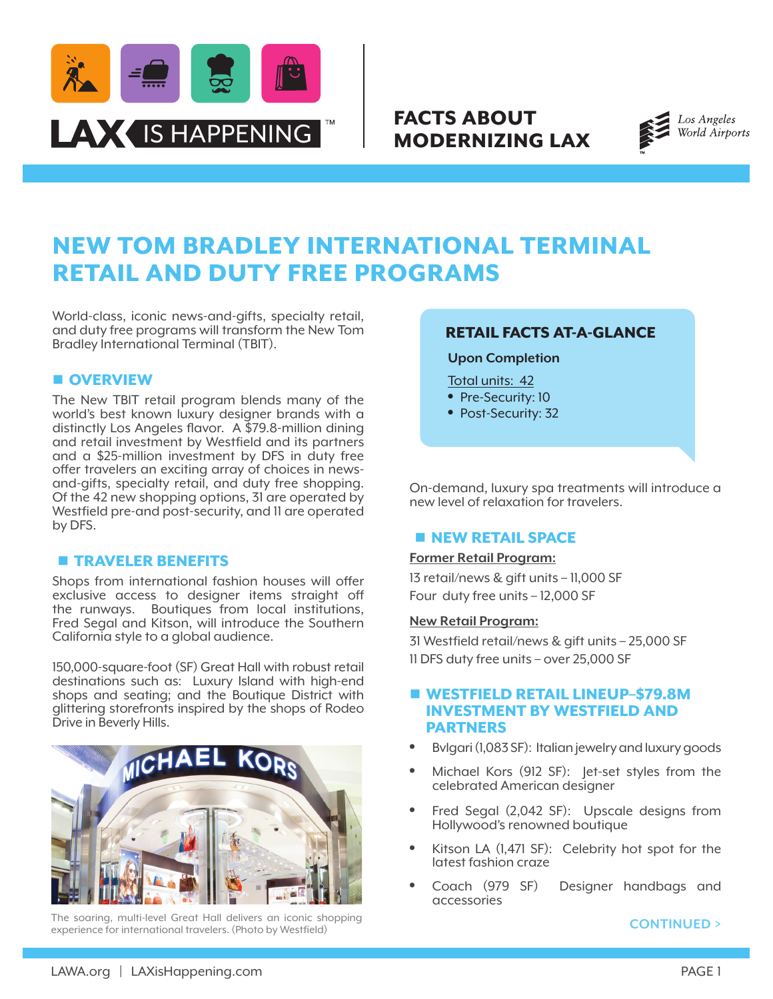

## FACTS ABOUT MODERNIZING LAX



# NEW TOM BRADLEY INTERNATIONAL TERMINAL RETAIL AND DUTY FREE PROGRAMS

World-class, iconic news-and-gifts, specialty retail, and duty free programs will transform the New Tom Bradley International Terminal (TBIT).

#### **n** OVERVIEW

The New TBIT retail program blends many of the world's best known luxury designer brands with a distinctly Los Angeles flavor. A \$79.8-million dining and retail investment by Westfield and its partners and a \$25-million investment by DFS in duty free offer travelers an exciting array of choices in newsand-gifts, specialty retail, and duty free shopping. Of the 42 new shopping options, 31 are operated by Westfield pre-and post-security, and 11 are operated by DFS.

#### **n** TRAVELER BENEFITS

Shops from international fashion houses will offer exclusive access to designer items straight off the runways. Boutiques from local institutions, Fred Segal and Kitson, will introduce the Southern California style to a global audience.

150,000-square-foot (SF) Great Hall with robust retail destinations such as: Luxury Island with high-end shops and seating; and the Boutique District with glittering storefronts inspired by the shops of Rodeo Drive in Beverly Hills.



The soaring, multi-level Great Hall delivers an iconic shopping experience for international travelers. (Photo by Westfield)

## RETAIL FACTS AT-A-GLANCE

**Upon Completion**

Total units: 42

- Pre-Security: 10
- Post-Security: 32

On-demand, luxury spa treatments will introduce a new level of relaxation for travelers.

### **NEW RETAIL SPACE**

#### **Former Retail Program:**

13 retail/news & gift units – 11,000 SF Four duty free units – 12,000 SF

#### **New Retail Program:**

31 Westfield retail/news & gift units – 25,000 SF 11 DFS duty free units – over 25,000 SF

## **N WESTFIELD RETAIL LINEUP-\$79.8M** INVESTMENT BY WESTFIELD AND PARTNERS

- Bvlgari (1,083 SF): Italian jewelry and luxury goods
- Michael Kors (912 SF): Jet-set styles from the celebrated American designer
- Fred Segal (2,042 SF): Upscale designs from Hollywood's renowned boutique
- Kitson LA (1,471 SF): Celebrity hot spot for the latest fashion craze
- Coach (979 SF) Designer handbags and accessories

**CONTINUED >**